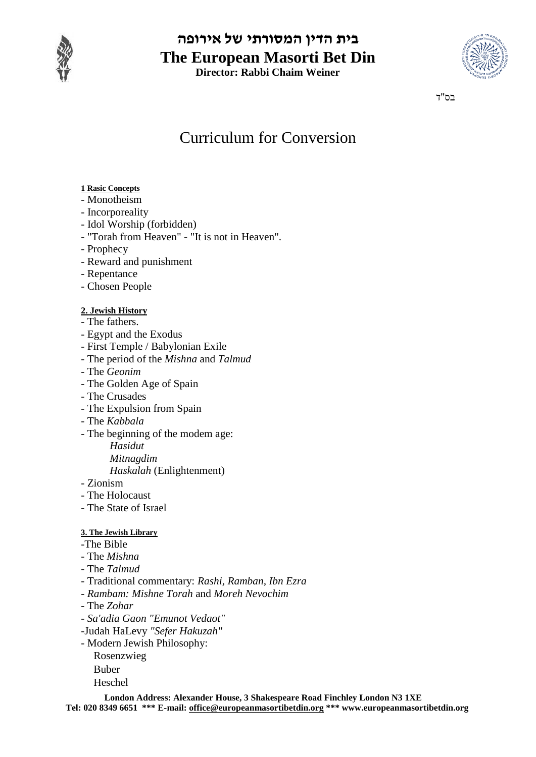

### **בית הדין המסורתי של אירופה The European Masorti Bet Din Director: Rabbi Chaim Weiner**



בס"ד

## Curriculum for Conversion

### **1 Rasic Concepts**

- Monotheism
- Incorporeality
- Idol Worship (forbidden)
- "Torah from Heaven" "It is not in Heaven".
- Prophecy
- Reward and punishment
- Repentance
- Chosen People

### **2. Jewish History**

- The fathers.
- Egypt and the Exodus
- First Temple / Babylonian Exile
- The period of the *Mishna* and *Talmud*
- *-* The *Geonim*
- *-* The Golden Age of Spain
- The Crusades
- The Expulsion from Spain
- The *Kabbala*
- *-* The beginning of the modem age:
	- *Hasidut*

*Mitnagdim*

*Haskalah* (Enlightenment)

- Zionism
- The Holocaust
- The State of Israel

### **3. The Jewish Library**

- -The Bible
- The *Mishna*
- *-* The *Talmud*
- *-* Traditional commentary: *Rashi, Ramban, Ibn Ezra*
- *- Rambam: Mishne Torah* and *Moreh Nevochim*
- *-* The *Zohar*
- *- Sa'adia Gaon "Emunot Vedaot"*
- -Judah HaLevy *"Sefer Hakuzah"*
- *-* Modern Jewish Philosophy:
	- Rosenzwieg Buber
	- Heschel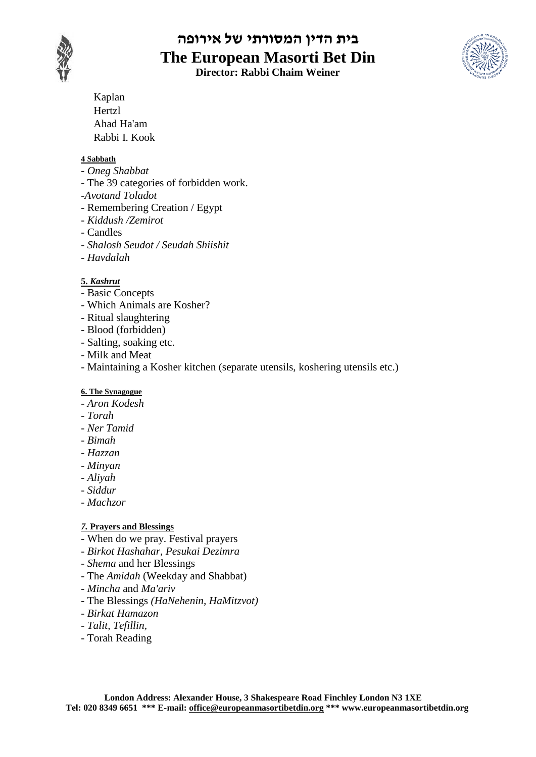

# **בית הדין המסורתי של אירופה The European Masorti Bet Din**

**Director: Rabbi Chaim Weiner**



Kaplan Hertzl Ahad Ha'am Rabbi I. Kook

### **4 Sabbath**

- *Oneg Shabbat*
- *-* The 39 categories of forbidden work.
- *-Avotand Toladot*
- *-* Remembering Creation / Egypt
- *Kiddush /Zemirot*
- *-* Candles
- *Shalosh Seudot / Seudah Shiishit*
- *- Havdalah*

### **5.** *Kashrut*

- *-* Basic Concepts
- Which Animals are Kosher?
- Ritual slaughtering
- Blood (forbidden)
- Salting, soaking etc.
- Milk and Meat
- Maintaining a Kosher kitchen (separate utensils, koshering utensils etc.)

### **6. The Synagogue**

- *Aron Kodesh*
- *- Torah*
- *- Ner Tamid*
- *- Bimah*
- *- Hazzan*
- *- Minyan*
- *- Aliyah*
- *- Siddur*
- *- Machzor*

### *7.* **Prayers and Blessings**

- When do we pray. Festival prayers
- *Birkot Hashahar, Pesukai Dezimra*
- *- Shema* and her Blessings
- The *Amidah* (Weekday and Shabbat)
- *Mincha* and *Ma'ariv*
- *-* The Blessings *(HaNehenin, HaMitzvot)*
- *- Birkat Hamazon*
- *- Talit, Tefillin,*
- *-* Torah Reading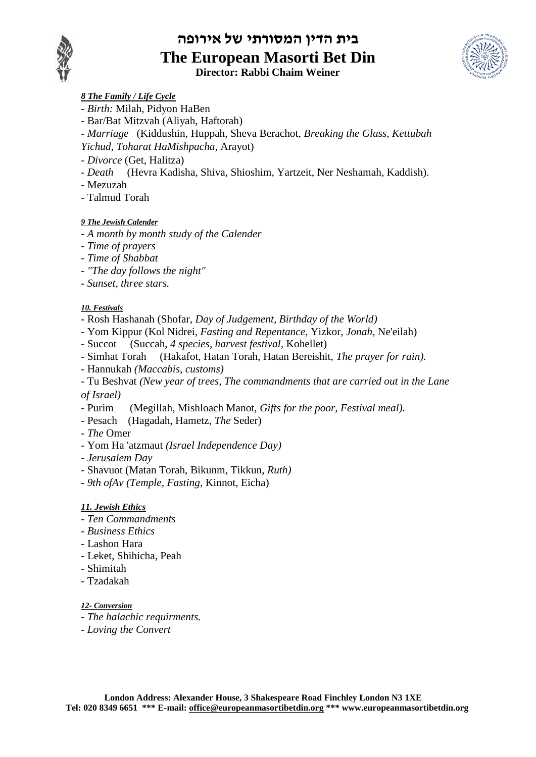

### **בית הדין המסורתי של אירופה The European Masorti Bet Din Director: Rabbi Chaim Weiner**



- *8 The Family / Life Cycle*
- *- Birth:* Milah, Pidyon HaBen
- Bar/Bat Mitzvah (Aliyah, Haftorah)
- *Marriage* (Kiddushin, Huppah, Sheva Berachot, *Breaking the Glass, Kettubah Yichud, Toharat HaMishpacha,* Arayot)
- *Divorce* (Get, Halitza)
- *Death* (Hevra Kadisha, Shiva, Shioshim, Yartzeit, Ner Neshamah, Kaddish).
- Mezuzah
- Talmud Torah

### *9 The Jewish Calender*

- *- A month by month study of the Calender*
- *- Time of prayers*
- *- Time of Shabbat*
- *- "The day follows the night"*
- *- Sunset, three stars.*

### *10. Festivals*

- *-* Rosh Hashanah (Shofar, *Day of Judgement, Birthday of the World)*
- *-* Yom Kippur (Kol Nidrei, *Fasting and Repentance,* Yizkor, *Jonah,* Ne'eilah)
- Succot (Succah, *4 species, harvest festival,* Kohellet)
- Simhat Torah (Hakafot, Hatan Torah, Hatan Bereishit, *The prayer for rain).*
- *-* Hannukah *(Maccabis, customs)*

*-* Tu Beshvat *(New year of trees, The commandments that are carried out in the Lane of Israel)*

- *-* Purim (Megillah, Mishloach Manot, *Gifts for the poor, Festival meal).*
- *-* Pesach (Hagadah, Hametz, *The* Seder)
- *The* Omer
- Yom Ha 'atzmaut *(Israel Independence Day)*
- *- Jerusalem Day*
- *-* Shavuot (Matan Torah, Bikunm, Tikkun, *Ruth)*
- *- 9th ofAv (Temple, Fasting,* Kinnot, Eicha)

### *11. Jewish Ethics*

- *- Ten Commandments*
- *- Business Ethics*
- *-* Lashon Hara
- Leket, Shihicha, Peah
- Shimitah
- Tzadakah

### *12- Conversion*

- *- The halachic requirments.*
- *- Loving the Convert*